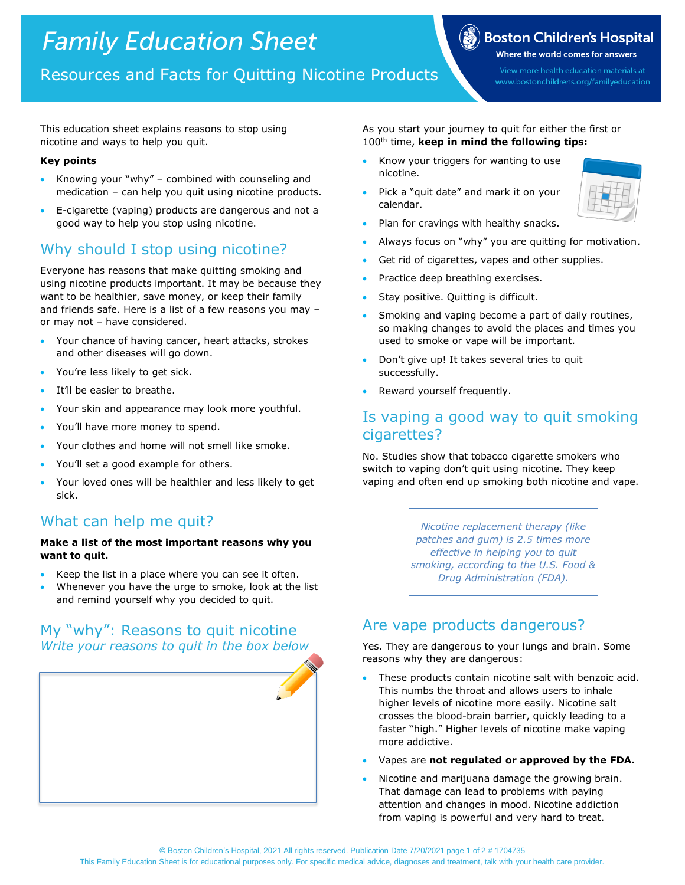# **Family Education Sheet**

# Where the world comes for answers

View more health education materials at www.bostonchildrens.org/familyeducation

 $\left(\frac{2}{\epsilon_0}\right)$  Boston Children's Hospital

Resources and Facts for Quitting Nicotine Products

This education sheet explains reasons to stop using nicotine and ways to help you quit.

#### **Key points**

- Knowing your "why" combined with counseling and medication – can help you quit using nicotine products.
- E-cigarette (vaping) products are dangerous and not a good way to help you stop using nicotine.

# Why should I stop using nicotine?

Everyone has reasons that make quitting smoking and using nicotine products important. It may be because they want to be healthier, save money, or keep their family and friends safe. Here is a list of a few reasons you may – or may not – have considered.

- Your chance of having cancer, heart attacks, strokes and other diseases will go down.
- You're less likely to get sick.
- It'll be easier to breathe.
- Your skin and appearance may look more youthful.
- You'll have more money to spend.
- Your clothes and home will not smell like smoke.
- You'll set a good example for others.
- Your loved ones will be healthier and less likely to get sick.

# What can help me quit?

#### **Make a list of the most important reasons why you want to quit.**

- Keep the list in a place where you can see it often.
- Whenever you have the urge to smoke, look at the list and remind yourself why you decided to quit.

## My "why": Reasons to quit nicotine *Write your reasons to quit in the box below*

As you start your journey to quit for either the first or 100th time, **keep in mind the following tips:**

- Know your triggers for wanting to use nicotine.
- Pick a "quit date" and mark it on your calendar.



- Plan for cravings with healthy snacks.
- Always focus on "why" you are quitting for motivation.
- Get rid of cigarettes, vapes and other supplies.
- Practice deep breathing exercises.
- Stay positive. Quitting is difficult.
- Smoking and vaping become a part of daily routines, so making changes to avoid the places and times you used to smoke or vape will be important.
- Don't give up! It takes several tries to quit successfully.
- Reward yourself frequently.

## Is vaping a good way to quit smoking cigarettes?

No. Studies show that tobacco cigarette smokers who switch to vaping don't quit using nicotine. They keep vaping and often end up smoking both nicotine and vape.

> *Nicotine replacement therapy (like patches and gum) is 2.5 times more effective in helping you to quit smoking, according to the U.S. Food & Drug Administration (FDA).*

# Are vape products dangerous?

Yes. They are dangerous to your lungs and brain. Some reasons why they are dangerous:

- These products contain nicotine salt with benzoic acid. This numbs the throat and allows users to inhale higher levels of nicotine more easily. Nicotine salt crosses the blood-brain barrier, quickly leading to a faster "high." Higher levels of nicotine make vaping more addictive.
- Vapes are **not regulated or approved by the FDA.**
- Nicotine and marijuana damage the growing brain. That damage can lead to problems with paying attention and changes in mood. Nicotine addiction from vaping is powerful and very hard to treat.